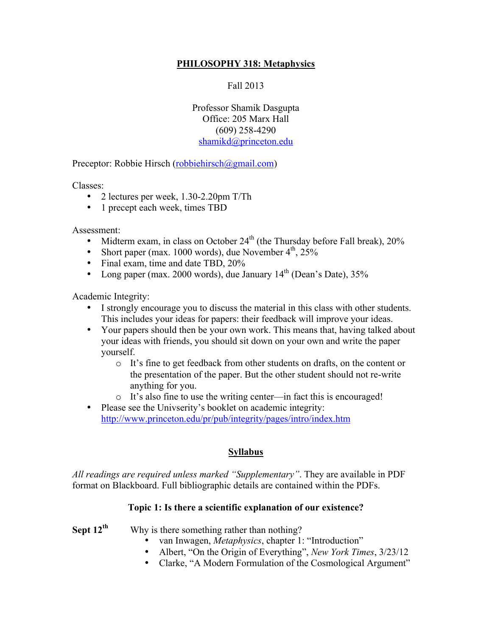## **PHILOSOPHY 318: Metaphysics**

Fall 2013

Professor Shamik Dasgupta Office: 205 Marx Hall (609) 258-4290 shamikd@princeton.edu

Preceptor: Robbie Hirsch (robbiehirsch@gmail.com)

Classes:

- 2 lectures per week, 1.30-2.20pm T/Th
- 1 precept each week, times TBD

Assessment:

- Midterm exam, in class on October  $24<sup>th</sup>$  (the Thursday before Fall break),  $20\%$
- Short paper (max. 1000 words), due November  $4<sup>th</sup>$ , 25%
- Final exam, time and date TBD, 20%
- Long paper (max. 2000 words), due January  $14<sup>th</sup>$  (Dean's Date),  $35%$

Academic Integrity:

- I strongly encourage you to discuss the material in this class with other students. This includes your ideas for papers: their feedback will improve your ideas.
- Your papers should then be your own work. This means that, having talked about your ideas with friends, you should sit down on your own and write the paper yourself.
	- o It's fine to get feedback from other students on drafts, on the content or the presentation of the paper. But the other student should not re-write anything for you.
	- o It's also fine to use the writing center—in fact this is encouraged!
- Please see the Univserity's booklet on academic integrity: http://www.princeton.edu/pr/pub/integrity/pages/intro/index.htm

## **Syllabus**

*All readings are required unless marked "Supplementary"*. They are available in PDF format on Blackboard. Full bibliographic details are contained within the PDFs.

#### **Topic 1: Is there a scientific explanation of our existence?**

**Sept 12<sup>th</sup>** Why is there something rather than nothing?

- van Inwagen, *Metaphysics*, chapter 1: "Introduction"
- Albert, "On the Origin of Everything", *New York Times*, 3/23/12
- Clarke, "A Modern Formulation of the Cosmological Argument"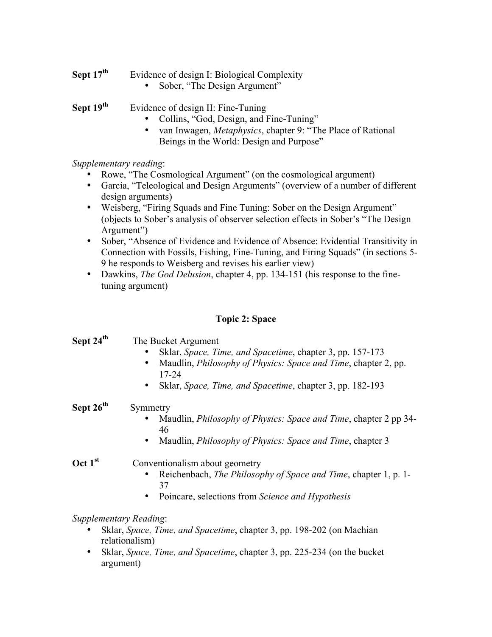## **Sept 17<sup>th</sup>** Evidence of design I: Biological Complexity

• Sober, "The Design Argument"

**Sept 19<sup>th</sup>** Evidence of design II: Fine-Tuning

- Collins, "God, Design, and Fine-Tuning"
- van Inwagen, *Metaphysics*, chapter 9: "The Place of Rational Beings in the World: Design and Purpose"

*Supplementary reading*:

- Rowe, "The Cosmological Argument" (on the cosmological argument)
- Garcia, "Teleological and Design Arguments" (overview of a number of different design arguments)
- Weisberg, "Firing Squads and Fine Tuning: Sober on the Design Argument" (objects to Sober's analysis of observer selection effects in Sober's "The Design Argument")
- Sober, "Absence of Evidence and Evidence of Absence: Evidential Transitivity in Connection with Fossils, Fishing, Fine-Tuning, and Firing Squads" (in sections 5- 9 he responds to Weisberg and revises his earlier view)
- Dawkins, *The God Delusion*, chapter 4, pp. 134-151 (his response to the finetuning argument)

## **Topic 2: Space**

| Sept 24 <sup>th</sup> | The Bucket Argument<br>Sklar, Space, Time, and Spacetime, chapter 3, pp. 157-173<br>Maudlin, <i>Philosophy of Physics: Space and Time</i> , chapter 2, pp.<br>٠<br>17-24<br>Sklar, Space, Time, and Spacetime, chapter 3, pp. 182-193<br>$\bullet$ |
|-----------------------|----------------------------------------------------------------------------------------------------------------------------------------------------------------------------------------------------------------------------------------------------|
| Sept 26 <sup>th</sup> | Symmetry                                                                                                                                                                                                                                           |
|                       | Maudlin, <i>Philosophy of Physics: Space and Time</i> , chapter 2 pp 34-<br>46                                                                                                                                                                     |
|                       | Maudlin, <i>Philosophy of Physics: Space and Time</i> , chapter 3<br>$\bullet$                                                                                                                                                                     |
| Oct 1 <sup>st</sup>   | Conventionalism about geometry<br>Reichenbach, <i>The Philosophy of Space and Time</i> , chapter 1, p. 1-                                                                                                                                          |
|                       | 37<br>Poincare, selections from Science and Hypothesis<br>$\bullet$                                                                                                                                                                                |
|                       | Supplementary Reading:<br>Sklar, Space, Time, and Spacetime, chapter 3, pp. 198-202 (on Machian<br>relationalism)                                                                                                                                  |

• Sklar, *Space, Time, and Spacetime*, chapter 3, pp. 225-234 (on the bucket argument)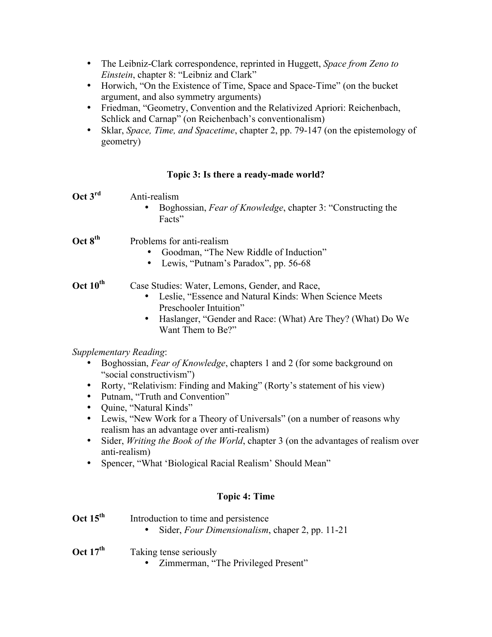- The Leibniz-Clark correspondence, reprinted in Huggett, *Space from Zeno to Einstein*, chapter 8: "Leibniz and Clark"
- Horwich, "On the Existence of Time, Space and Space-Time" (on the bucket argument, and also symmetry arguments)
- Friedman, "Geometry, Convention and the Relativized Apriori: Reichenbach, Schlick and Carnap" (on Reichenbach's conventionalism)
- Sklar, *Space, Time, and Spacetime*, chapter 2, pp. 79-147 (on the epistemology of geometry)

#### **Topic 3: Is there a ready-made world?**

| Oct $3^{\text{rd}}$ | Anti-realism<br>Boghossian, <i>Fear of Knowledge</i> , chapter 3: "Constructing the<br>Facts"                                                                                                                                      |
|---------------------|------------------------------------------------------------------------------------------------------------------------------------------------------------------------------------------------------------------------------------|
| Oct $8th$           | Problems for anti-realism<br>Goodman, "The New Riddle of Induction"<br>Lewis, "Putnam's Paradox", pp. 56-68                                                                                                                        |
| Oct $10^{th}$       | Case Studies: Water, Lemons, Gender, and Race,<br>Leslie, "Essence and Natural Kinds: When Science Meets<br>Preschooler Intuition"<br>Haslanger, "Gender and Race: (What) Are They? (What) Do We<br>$\bullet$<br>Want Them to Be?" |
|                     | Supplementary Reading:<br>Boghossian, Fear of Knowledge, chapters 1 and 2 (for some background on<br>"social constructivism")                                                                                                      |

- Rorty, "Relativism: Finding and Making" (Rorty's statement of his view)
- Putnam, "Truth and Convention"
- Quine, "Natural Kinds"
- Lewis, "New Work for a Theory of Universals" (on a number of reasons why realism has an advantage over anti-realism)
- Sider, *Writing the Book of the World*, chapter 3 (on the advantages of realism over anti-realism)
- Spencer, "What 'Biological Racial Realism' Should Mean"

## **Topic 4: Time**

| Oct $15^{\text{th}}$ | Introduction to time and persistence<br>Sider, Four Dimensionalism, chaper 2, pp. 11-21 |
|----------------------|-----------------------------------------------------------------------------------------|
| Oct $17^{\text{th}}$ | Taking tense seriously<br>• Zimmerman, "The Privileged Present"                         |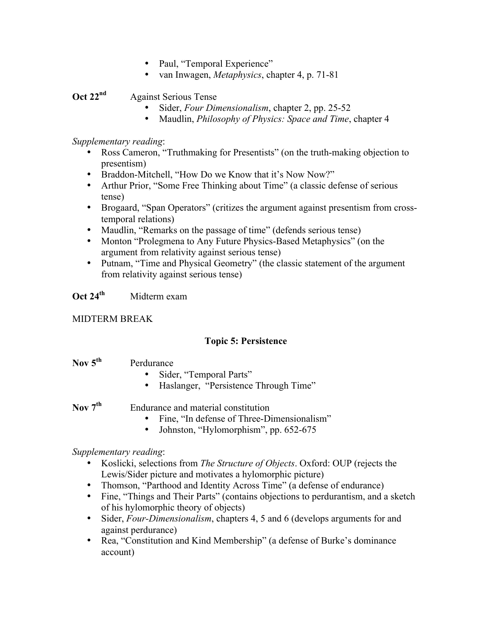- Paul, "Temporal Experience"
- van Inwagen, *Metaphysics*, chapter 4, p. 71-81

**Oct 22<sup>nd</sup>** Against Serious Tense

- Sider, *Four Dimensionalism*, chapter 2, pp. 25-52
- Maudlin, *Philosophy of Physics: Space and Time*, chapter 4

#### *Supplementary reading*:

- Ross Cameron, "Truthmaking for Presentists" (on the truth-making objection to presentism)
- Braddon-Mitchell, "How Do we Know that it's Now Now?"
- Arthur Prior, "Some Free Thinking about Time" (a classic defense of serious tense)
- Brogaard, "Span Operators" (critizes the argument against presentism from crosstemporal relations)
- Maudlin, "Remarks on the passage of time" (defends serious tense)
- Monton "Prolegmena to Any Future Physics-Based Metaphysics" (on the argument from relativity against serious tense)
- Putnam, "Time and Physical Geometry" (the classic statement of the argument from relativity against serious tense)

## **Oct 24th** Midterm exam

#### MIDTERM BREAK

#### **Topic 5: Persistence**

| Nov $5^{\text{th}}$ | Perdurance |
|---------------------|------------|
|---------------------|------------|

- Sider, "Temporal Parts"
- Haslanger, "Persistence Through Time"

Nov 7<sup>th</sup> Endurance and material constitution

- Fine, "In defense of Three-Dimensionalism"
- Johnston, "Hylomorphism", pp. 652-675

#### *Supplementary reading*:

- Koslicki, selections from *The Structure of Objects*. Oxford: OUP (rejects the Lewis/Sider picture and motivates a hylomorphic picture)
- Thomson, "Parthood and Identity Across Time" (a defense of endurance)
- Fine, "Things and Their Parts" (contains objections to perdurantism, and a sketch of his hylomorphic theory of objects)
- Sider, *Four-Dimensionalism*, chapters 4, 5 and 6 (develops arguments for and against perdurance)
- Rea, "Constitution and Kind Membership" (a defense of Burke's dominance account)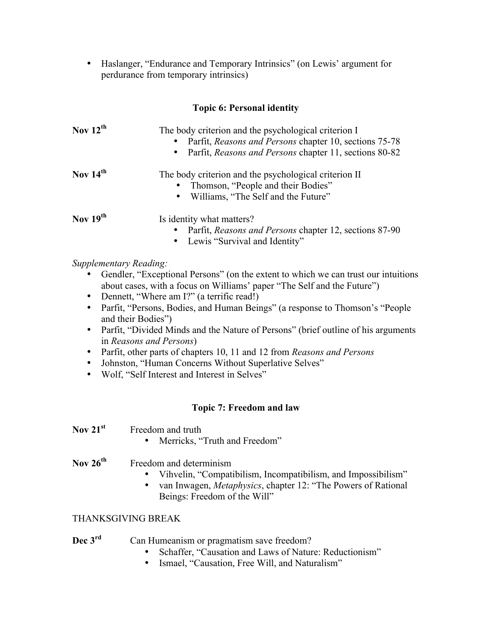• Haslanger, "Endurance and Temporary Intrinsics" (on Lewis' argument for perdurance from temporary intrinsics)

**Topic 6: Personal identity**

| Nov $12^{th}$ | The body criterion and the psychological criterion I<br>Parfit, Reasons and Persons chapter 10, sections 75-78<br>Parfit, Reasons and Persons chapter 11, sections 80-82<br>$\bullet$ |
|---------------|---------------------------------------------------------------------------------------------------------------------------------------------------------------------------------------|
| Nov $14th$    | The body criterion and the psychological criterion II<br>Thomson, "People and their Bodies"<br>$\bullet$<br>Williams, "The Self and the Future"<br>$\bullet$                          |
| Nov $19^{th}$ | Is identity what matters?<br>Parfit, <i>Reasons and Persons</i> chapter 12, sections 87-90<br>• Lewis "Survival and Identity"                                                         |

# *Supplementary Reading:*

- Gendler, "Exceptional Persons" (on the extent to which we can trust our intuitions about cases, with a focus on Williams' paper "The Self and the Future")
- Dennett, "Where am I?" (a terrific read!)
- Parfit, "Persons, Bodies, and Human Beings" (a response to Thomson's "People" and their Bodies")
- Parfit, "Divided Minds and the Nature of Persons" (brief outline of his arguments in *Reasons and Persons*)
- Parfit, other parts of chapters 10, 11 and 12 from *Reasons and Persons*
- Johnston, "Human Concerns Without Superlative Selves"
- Wolf, "Self Interest and Interest in Selves"

#### **Topic 7: Freedom and law**

• Merricks, "Truth and Freedom"

| Nov 26 $^{\rm th}$ | Freedo |
|--------------------|--------|
|                    |        |

- m and determinism
	- Vihvelin, "Compatibilism, Incompatibilism, and Impossibilism"
	- van Inwagen, *Metaphysics*, chapter 12: "The Powers of Rational Beings: Freedom of the Will"

#### THANKSGIVING BREAK

| Dec $3rd$ | Can Humeanism or pragmatism save freedom? |  |
|-----------|-------------------------------------------|--|
|           |                                           |  |

- Schaffer, "Causation and Laws of Nature: Reductionism"
- Ismael, "Causation, Free Will, and Naturalism"